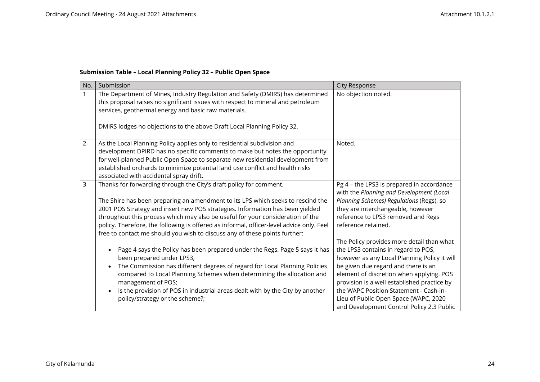## **Submission Table – Local Planning Policy 32 – Public Open Space**

| No.            | Submission                                                                                                                                                                                                                                                                                                                                                                                                                   | <b>City Response</b>                                                                                                                                                                                                                                                                                                                                                                               |
|----------------|------------------------------------------------------------------------------------------------------------------------------------------------------------------------------------------------------------------------------------------------------------------------------------------------------------------------------------------------------------------------------------------------------------------------------|----------------------------------------------------------------------------------------------------------------------------------------------------------------------------------------------------------------------------------------------------------------------------------------------------------------------------------------------------------------------------------------------------|
| $\mathbf{1}$   | The Department of Mines, Industry Regulation and Safety (DMIRS) has determined<br>this proposal raises no significant issues with respect to mineral and petroleum<br>services, geothermal energy and basic raw materials.<br>DMIRS lodges no objections to the above Draft Local Planning Policy 32.                                                                                                                        | No objection noted.                                                                                                                                                                                                                                                                                                                                                                                |
|                |                                                                                                                                                                                                                                                                                                                                                                                                                              |                                                                                                                                                                                                                                                                                                                                                                                                    |
| $\overline{2}$ | As the Local Planning Policy applies only to residential subdivision and<br>development DPIRD has no specific comments to make but notes the opportunity<br>for well-planned Public Open Space to separate new residential development from<br>established orchards to minimize potential land use conflict and health risks<br>associated with accidental spray drift.                                                      | Noted.                                                                                                                                                                                                                                                                                                                                                                                             |
| 3              | Thanks for forwarding through the City's draft policy for comment.                                                                                                                                                                                                                                                                                                                                                           | Pg 4 - the LPS3 is prepared in accordance<br>with the Planning and Development (Local                                                                                                                                                                                                                                                                                                              |
|                | The Shire has been preparing an amendment to its LPS which seeks to rescind the<br>2001 POS Strategy and insert new POS strategies. Information has been yielded<br>throughout this process which may also be useful for your consideration of the<br>policy. Therefore, the following is offered as informal, officer-level advice only. Feel<br>free to contact me should you wish to discuss any of these points further: | Planning Schemes) Regulations (Regs), so<br>they are interchangeable, however<br>reference to LPS3 removed and Regs<br>reference retained.                                                                                                                                                                                                                                                         |
|                | Page 4 says the Policy has been prepared under the Regs. Page 5 says it has<br>been prepared under LPS3;<br>The Commission has different degrees of regard for Local Planning Policies<br>compared to Local Planning Schemes when determining the allocation and<br>management of POS;<br>Is the provision of POS in industrial areas dealt with by the City by another<br>policy/strategy or the scheme?;                   | The Policy provides more detail than what<br>the LPS3 contains in regard to POS,<br>however as any Local Planning Policy it will<br>be given due regard and there is an<br>element of discretion when applying. POS<br>provision is a well established practice by<br>the WAPC Position Statement - Cash-in-<br>Lieu of Public Open Space (WAPC, 2020<br>and Development Control Policy 2.3 Public |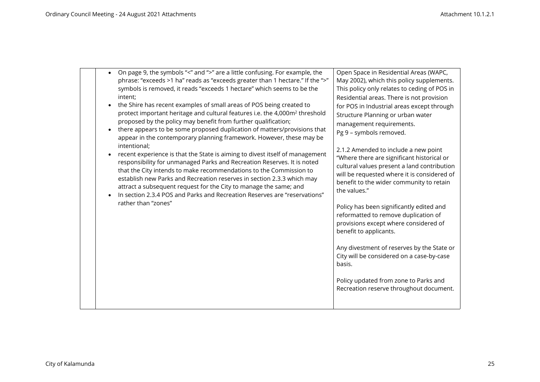| On page 9, the symbols "<" and ">" are a little confusing. For example, the<br>$\bullet$<br>phrase: "exceeds >1 ha" reads as "exceeds greater than 1 hectare." If the ">"<br>symbols is removed, it reads "exceeds 1 hectare" which seems to be the<br>intent;<br>the Shire has recent examples of small areas of POS being created to<br>protect important heritage and cultural features i.e. the 4,000m <sup>2</sup> threshold<br>proposed by the policy may benefit from further qualification;<br>there appears to be some proposed duplication of matters/provisions that<br>appear in the contemporary planning framework. However, these may be<br>intentional;<br>recent experience is that the State is aiming to divest itself of management<br>responsibility for unmanaged Parks and Recreation Reserves. It is noted<br>that the City intends to make recommendations to the Commission to<br>establish new Parks and Recreation reserves in section 2.3.3 which may<br>attract a subsequent request for the City to manage the same; and<br>In section 2.3.4 POS and Parks and Recreation Reserves are "reservations"<br>rather than "zones" | Open Space in Residential Areas (WAPC,<br>May 2002), which this policy supplements.<br>This policy only relates to ceding of POS in<br>Residential areas. There is not provision<br>for POS in Industrial areas except through<br>Structure Planning or urban water<br>management requirements.<br>Pg 9 - symbols removed.<br>2.1.2 Amended to include a new point<br>"Where there are significant historical or<br>cultural values present a land contribution<br>will be requested where it is considered of<br>benefit to the wider community to retain<br>the values."<br>Policy has been significantly edited and<br>reformatted to remove duplication of<br>provisions except where considered of<br>benefit to applicants.<br>Any divestment of reserves by the State or<br>City will be considered on a case-by-case<br>basis. |
|-------------------------------------------------------------------------------------------------------------------------------------------------------------------------------------------------------------------------------------------------------------------------------------------------------------------------------------------------------------------------------------------------------------------------------------------------------------------------------------------------------------------------------------------------------------------------------------------------------------------------------------------------------------------------------------------------------------------------------------------------------------------------------------------------------------------------------------------------------------------------------------------------------------------------------------------------------------------------------------------------------------------------------------------------------------------------------------------------------------------------------------------------------------|----------------------------------------------------------------------------------------------------------------------------------------------------------------------------------------------------------------------------------------------------------------------------------------------------------------------------------------------------------------------------------------------------------------------------------------------------------------------------------------------------------------------------------------------------------------------------------------------------------------------------------------------------------------------------------------------------------------------------------------------------------------------------------------------------------------------------------------|
|-------------------------------------------------------------------------------------------------------------------------------------------------------------------------------------------------------------------------------------------------------------------------------------------------------------------------------------------------------------------------------------------------------------------------------------------------------------------------------------------------------------------------------------------------------------------------------------------------------------------------------------------------------------------------------------------------------------------------------------------------------------------------------------------------------------------------------------------------------------------------------------------------------------------------------------------------------------------------------------------------------------------------------------------------------------------------------------------------------------------------------------------------------------|----------------------------------------------------------------------------------------------------------------------------------------------------------------------------------------------------------------------------------------------------------------------------------------------------------------------------------------------------------------------------------------------------------------------------------------------------------------------------------------------------------------------------------------------------------------------------------------------------------------------------------------------------------------------------------------------------------------------------------------------------------------------------------------------------------------------------------------|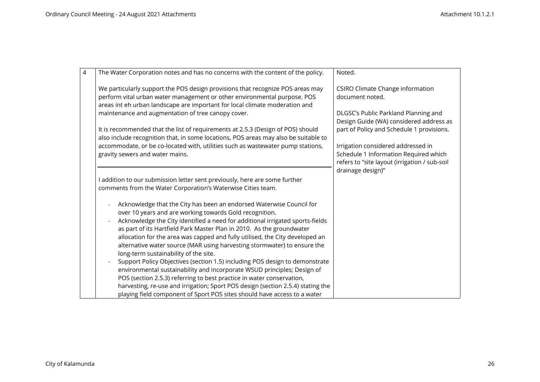| $\overline{4}$ | The Water Corporation notes and has no concerns with the content of the policy.                                                                                                                                                                                                                 | Noted.                                                                                                                       |
|----------------|-------------------------------------------------------------------------------------------------------------------------------------------------------------------------------------------------------------------------------------------------------------------------------------------------|------------------------------------------------------------------------------------------------------------------------------|
|                | We particularly support the POS design provisions that recognize POS areas may<br>perform vital urban water management or other environmental purpose. POS<br>areas int eh urban landscape are important for local climate moderation and<br>maintenance and augmentation of tree canopy cover. | <b>CSIRO Climate Change information</b><br>document noted.<br>DLGSC's Public Parkland Planning and                           |
|                | It is recommended that the list of requirements at 2.5.3 (Design of POS) should<br>also include recognition that, in some locations, POS areas may also be suitable to                                                                                                                          | Design Guide (WA) considered address as<br>part of Policy and Schedule 1 provisions.                                         |
|                | accommodate, or be co-located with, utilities such as wastewater pump stations,<br>gravity sewers and water mains.                                                                                                                                                                              | Irrigation considered addressed in<br>Schedule 1 Information Required which<br>refers to "site layout (irrigation / sub-soil |
|                | I addition to our submission letter sent previously, here are some further<br>comments from the Water Corporation's Waterwise Cities team.                                                                                                                                                      | drainage design)"                                                                                                            |
|                | Acknowledge that the City has been an endorsed Waterwise Council for<br>over 10 years and are working towards Gold recognition.<br>Acknowledge the City identified a need for additional irrigated sports-fields                                                                                |                                                                                                                              |
|                | as part of its Hartfield Park Master Plan in 2010. As the groundwater<br>allocation for the area was capped and fully utilised, the City developed an<br>alternative water source (MAR using harvesting stormwater) to ensure the<br>long-term sustainability of the site.                      |                                                                                                                              |
|                | Support Policy Objectives (section 1.5) including POS design to demonstrate<br>environmental sustainability and incorporate WSUD principles; Design of<br>POS (section 2.5.3) referring to best practice in water conservation,                                                                 |                                                                                                                              |
|                | harvesting, re-use and irrigation; Sport POS design (section 2.5.4) stating the<br>playing field component of Sport POS sites should have access to a water                                                                                                                                     |                                                                                                                              |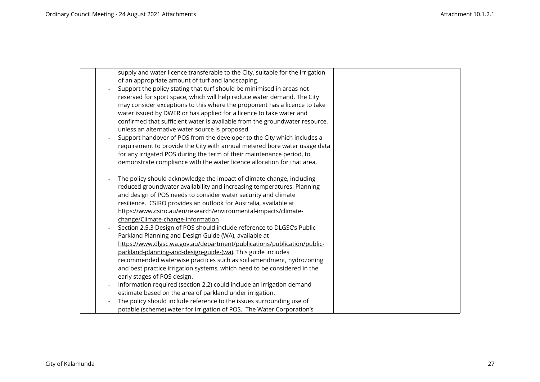|  | supply and water licence transferable to the City, suitable for the irrigation |
|--|--------------------------------------------------------------------------------|
|  | of an appropriate amount of turf and landscaping.                              |
|  | Support the policy stating that turf should be minimised in areas not          |
|  | reserved for sport space, which will help reduce water demand. The City        |
|  | may consider exceptions to this where the proponent has a licence to take      |
|  | water issued by DWER or has applied for a licence to take water and            |
|  | confirmed that sufficient water is available from the groundwater resource,    |
|  | unless an alternative water source is proposed.                                |
|  | Support handover of POS from the developer to the City which includes a        |
|  | requirement to provide the City with annual metered bore water usage data      |
|  | for any irrigated POS during the term of their maintenance period, to          |
|  | demonstrate compliance with the water licence allocation for that area.        |
|  |                                                                                |
|  | The policy should acknowledge the impact of climate change, including          |
|  | reduced groundwater availability and increasing temperatures. Planning         |
|  | and design of POS needs to consider water security and climate                 |
|  | resilience. CSIRO provides an outlook for Australia, available at              |
|  | https://www.csiro.au/en/research/environmental-impacts/climate-                |
|  | change/Climate-change-information                                              |
|  | Section 2.5.3 Design of POS should include reference to DLGSC's Public         |
|  | Parkland Planning and Design Guide (WA), available at                          |
|  | https://www.dlgsc.wa.gov.au/department/publications/publication/public-        |
|  | parkland-planning-and-design-guide-(wa). This guide includes                   |
|  | recommended waterwise practices such as soil amendment, hydrozoning            |
|  | and best practice irrigation systems, which need to be considered in the       |
|  | early stages of POS design.                                                    |
|  | Information required (section 2.2) could include an irrigation demand          |
|  | estimate based on the area of parkland under irrigation.                       |
|  | The policy should include reference to the issues surrounding use of           |
|  | potable (scheme) water for irrigation of POS. The Water Corporation's          |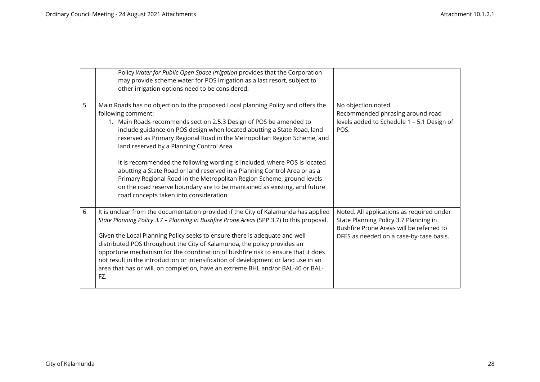|   | Policy Water for Public Open Space Irrigation provides that the Corporation<br>may provide scheme water for POS irrigation as a last resort, subject to<br>other irrigation options need to be considered.                                                                                                                                                                                                                                                                                                                                                                                                   |                                                                                                                                                                           |
|---|--------------------------------------------------------------------------------------------------------------------------------------------------------------------------------------------------------------------------------------------------------------------------------------------------------------------------------------------------------------------------------------------------------------------------------------------------------------------------------------------------------------------------------------------------------------------------------------------------------------|---------------------------------------------------------------------------------------------------------------------------------------------------------------------------|
| 5 | Main Roads has no objection to the proposed Local planning Policy and offers the<br>following comment:<br>1. Main Roads recommends section 2.5.3 Design of POS be amended to<br>include guidance on POS design when located abutting a State Road, land<br>reserved as Primary Regional Road in the Metropolitan Region Scheme, and<br>land reserved by a Planning Control Area.<br>It is recommended the following wording is included, where POS is located                                                                                                                                                | No objection noted.<br>Recommended phrasing around road<br>levels added to Schedule 1 - 5.1 Design of<br>POS.                                                             |
|   | abutting a State Road or land reserved in a Planning Control Area or as a<br>Primary Regional Road in the Metropolitan Region Scheme, ground levels<br>on the road reserve boundary are to be maintained as existing, and future<br>road concepts taken into consideration.                                                                                                                                                                                                                                                                                                                                  |                                                                                                                                                                           |
| 6 | It is unclear from the documentation provided if the City of Kalamunda has applied<br>State Planning Policy 3.7 - Planning in Bushfire Prone Areas (SPP 3.7) to this proposal.<br>Given the Local Planning Policy seeks to ensure there is adequate and well<br>distributed POS throughout the City of Kalamunda, the policy provides an<br>opportune mechanism for the coordination of bushfire risk to ensure that it does<br>not result in the introduction or intensification of development or land use in an<br>area that has or will, on completion, have an extreme BHL and/or BAL-40 or BAL-<br>FZ. | Noted. All applications as required under<br>State Planning Policy 3.7 Planning in<br>Bushfire Prone Areas will be referred to<br>DFES as needed on a case-by-case basis. |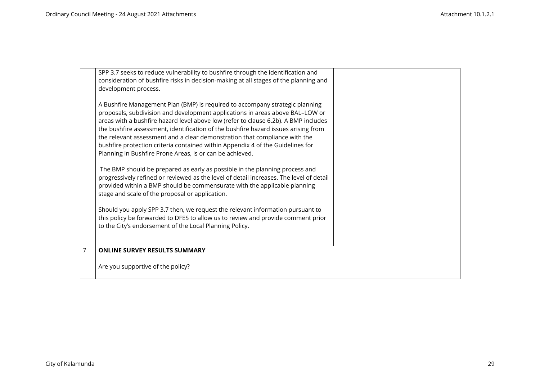|                | SPP 3.7 seeks to reduce vulnerability to bushfire through the identification and<br>consideration of bushfire risks in decision-making at all stages of the planning and<br>development process.<br>A Bushfire Management Plan (BMP) is required to accompany strategic planning<br>proposals, subdivision and development applications in areas above BAL-LOW or<br>areas with a bushfire hazard level above low (refer to clause 6.2b). A BMP includes<br>the bushfire assessment, identification of the bushfire hazard issues arising from<br>the relevant assessment and a clear demonstration that compliance with the<br>bushfire protection criteria contained within Appendix 4 of the Guidelines for<br>Planning in Bushfire Prone Areas, is or can be achieved.<br>The BMP should be prepared as early as possible in the planning process and |  |
|----------------|-----------------------------------------------------------------------------------------------------------------------------------------------------------------------------------------------------------------------------------------------------------------------------------------------------------------------------------------------------------------------------------------------------------------------------------------------------------------------------------------------------------------------------------------------------------------------------------------------------------------------------------------------------------------------------------------------------------------------------------------------------------------------------------------------------------------------------------------------------------|--|
|                | progressively refined or reviewed as the level of detail increases. The level of detail<br>provided within a BMP should be commensurate with the applicable planning<br>stage and scale of the proposal or application.                                                                                                                                                                                                                                                                                                                                                                                                                                                                                                                                                                                                                                   |  |
|                | Should you apply SPP 3.7 then, we request the relevant information pursuant to<br>this policy be forwarded to DFES to allow us to review and provide comment prior<br>to the City's endorsement of the Local Planning Policy.                                                                                                                                                                                                                                                                                                                                                                                                                                                                                                                                                                                                                             |  |
| $\overline{7}$ | <b>ONLINE SURVEY RESULTS SUMMARY</b>                                                                                                                                                                                                                                                                                                                                                                                                                                                                                                                                                                                                                                                                                                                                                                                                                      |  |
|                | Are you supportive of the policy?                                                                                                                                                                                                                                                                                                                                                                                                                                                                                                                                                                                                                                                                                                                                                                                                                         |  |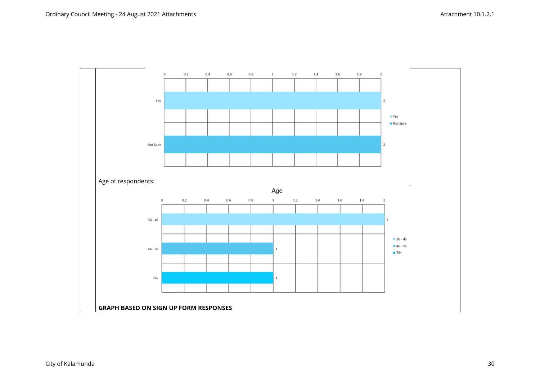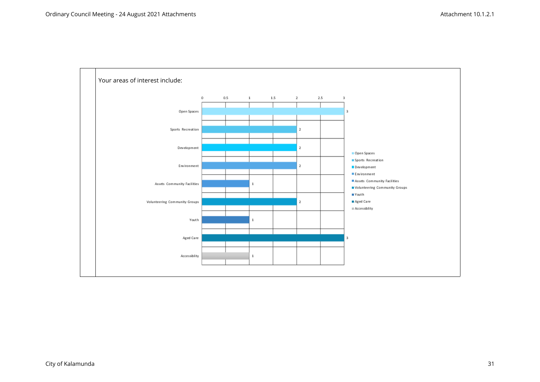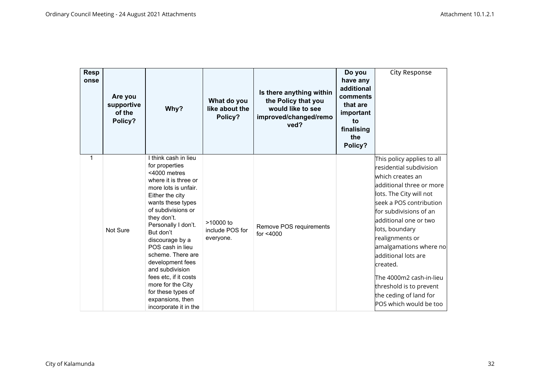| <b>Resp</b><br>onse | Are you<br>supportive<br>of the<br>Policy? | Why?                                                                                                                                                                                                                                                                                                                                                                                                                                        | What do you<br>like about the<br>Policy?    | Is there anything within<br>the Policy that you<br>would like to see<br>improved/changed/remo<br>ved? | Do you<br>have any<br>additional<br>comments<br>that are<br>important<br>to<br>finalising<br>the<br>Policy? | City Response                                                                                                                                                                                                                                                                                                                                                                                                                   |
|---------------------|--------------------------------------------|---------------------------------------------------------------------------------------------------------------------------------------------------------------------------------------------------------------------------------------------------------------------------------------------------------------------------------------------------------------------------------------------------------------------------------------------|---------------------------------------------|-------------------------------------------------------------------------------------------------------|-------------------------------------------------------------------------------------------------------------|---------------------------------------------------------------------------------------------------------------------------------------------------------------------------------------------------------------------------------------------------------------------------------------------------------------------------------------------------------------------------------------------------------------------------------|
| 1                   | Not Sure                                   | I think cash in lieu<br>for properties<br><4000 metres<br>where it is three or<br>more lots is unfair.<br>Either the city<br>wants these types<br>of subdivisions or<br>they don't.<br>Personally I don't.<br>But don't<br>discourage by a<br>POS cash in lieu<br>scheme. There are<br>development fees<br>and subdivision<br>fees etc, if it costs<br>more for the City<br>for these types of<br>expansions, then<br>incorporate it in the | $>10000$ to<br>include POS for<br>everyone. | Remove POS requirements<br>for <4000                                                                  |                                                                                                             | This policy applies to all<br>$\,$ residential subdivision<br>which creates an<br>additional three or more<br>lots. The City will not<br>seek a POS contribution<br>for subdivisions of an<br>additional one or two<br>lots, boundary<br>realignments or<br>amalgamations where no<br>additional lots are<br>created.<br>The 4000m2 cash-in-lieu<br>threshold is to prevent<br>the ceding of land for<br>POS which would be too |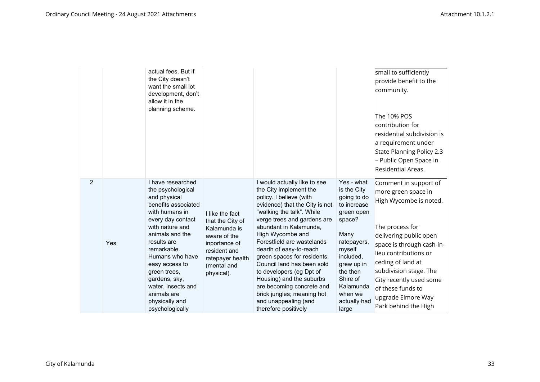|   |     | actual fees. But if<br>the City doesn't<br>want the small lot<br>development, don't<br>allow it in the<br>planning scheme.                                                                                                                                                                                                               |                                                                                                                                                       |                                                                                                                                                                                                                                                                                                                                                                                                                                                                                                                        |                                                                                                                                                                                                                      | small to sufficiently<br>provide benefit to the<br>community.<br>The 10% POS<br>contribution for<br>residential subdivision is<br>a requirement under<br>State Planning Policy 2.3<br>Public Open Space in<br>Residential Areas.                                                                                       |
|---|-----|------------------------------------------------------------------------------------------------------------------------------------------------------------------------------------------------------------------------------------------------------------------------------------------------------------------------------------------|-------------------------------------------------------------------------------------------------------------------------------------------------------|------------------------------------------------------------------------------------------------------------------------------------------------------------------------------------------------------------------------------------------------------------------------------------------------------------------------------------------------------------------------------------------------------------------------------------------------------------------------------------------------------------------------|----------------------------------------------------------------------------------------------------------------------------------------------------------------------------------------------------------------------|------------------------------------------------------------------------------------------------------------------------------------------------------------------------------------------------------------------------------------------------------------------------------------------------------------------------|
| 2 | Yes | I have researched<br>the psychological<br>and physical<br>benefits associated<br>with humans in<br>every day contact<br>with nature and<br>animals and the<br>results are<br>remarkable.<br>Humans who have<br>easy access to<br>green trees,<br>gardens, sky,<br>water, insects and<br>animals are<br>physically and<br>psychologically | I like the fact<br>that the City of<br>Kalamunda is<br>aware of the<br>inportance of<br>resident and<br>ratepayer health<br>(mental and<br>physical). | I would actually like to see<br>the City implement the<br>policy. I believe (with<br>evidence) that the City is not<br>"walking the talk". While<br>verge trees and gardens are<br>abundant in Kalamunda,<br>High Wycombe and<br>Forestfield are wastelands<br>dearth of easy-to-reach<br>green spaces for residents.<br>Council land has been sold<br>to developers (eg Dpt of<br>Housing) and the suburbs<br>are becoming concrete and<br>brick jungles; meaning hot<br>and unappealing (and<br>therefore positively | Yes - what<br>is the City<br>going to do<br>to increase<br>green open<br>space?<br>Many<br>ratepayers,<br>myself<br>included,<br>grew up in<br>the then<br>Shire of<br>Kalamunda<br>when we<br>actually had<br>large | Comment in support of<br>more green space in<br>High Wycombe is noted.<br>The process for<br>delivering public open<br>space is through cash-in-<br>lieu contributions or<br>ceding of land at<br>subdivision stage. The<br>City recently used some<br>of these funds to<br>upgrade Elmore Way<br>Park behind the High |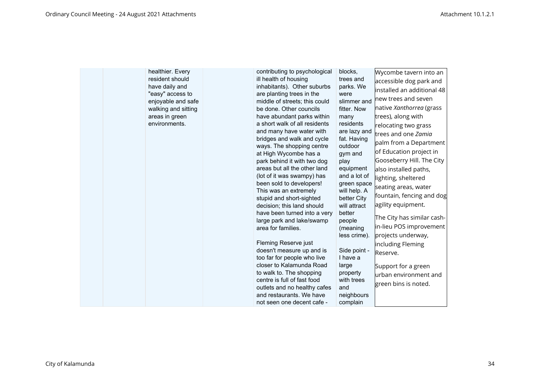| healthier. Every<br>resident should<br>have daily and<br>"easy" access to<br>enjoyable and safe<br>walking and sitting<br>areas in green<br>environments. | contributing to psychological<br>ill health of housing<br>inhabitants). Other suburbs<br>are planting trees in the<br>middle of streets; this could<br>be done. Other councils<br>have abundant parks within<br>a short walk of all residents<br>and many have water with<br>bridges and walk and cycle<br>ways. The shopping centre<br>at High Wycombe has a<br>park behind it with two dog<br>areas but all the other land<br>(lot of it was swampy) has<br>been sold to developers!<br>This was an extremely<br>stupid and short-sighted<br>decision; this land should<br>have been turned into a very<br>large park and lake/swamp<br>area for families.<br>Fleming Reserve just<br>doesn't measure up and is<br>too far for people who live<br>closer to Kalamunda Road<br>to walk to. The shopping<br>centre is full of fast food<br>outlets and no healthy cafes<br>and restaurants. We have<br>not seen one decent cafe - | blocks.<br>trees and<br>parks. We<br>were<br>slimmer and<br>fitter. Now<br>many<br>residents<br>are lazy and<br>fat. Having<br>outdoor<br>gym and<br>play<br>equipment<br>and a lot of<br>green space<br>will help. A<br>better City<br>will attract<br>better<br>people<br>(meaning<br>less crime).<br>Side point -<br>I have a<br>large<br>property<br>with trees<br>and<br>neighbours<br>complain | Wycombe tavern into an<br>accessible dog park and<br>installed an additional 48<br>new trees and seven<br>native Xanthorrea (grass<br>trees), along with<br>relocating two grass<br>trees and one Zamia<br>palm from a Department<br>of Education project in<br>Gooseberry Hill. The City<br>also installed paths,<br>lighting, sheltered<br>seating areas, water<br>fountain, fencing and dog<br>agility equipment.<br>The City has similar cash-<br>in-lieu POS improvement<br>projects underway,<br>including Fleming<br>Reserve.<br>Support for a green<br>urban environment and<br>green bins is noted. |
|-----------------------------------------------------------------------------------------------------------------------------------------------------------|-----------------------------------------------------------------------------------------------------------------------------------------------------------------------------------------------------------------------------------------------------------------------------------------------------------------------------------------------------------------------------------------------------------------------------------------------------------------------------------------------------------------------------------------------------------------------------------------------------------------------------------------------------------------------------------------------------------------------------------------------------------------------------------------------------------------------------------------------------------------------------------------------------------------------------------|------------------------------------------------------------------------------------------------------------------------------------------------------------------------------------------------------------------------------------------------------------------------------------------------------------------------------------------------------------------------------------------------------|--------------------------------------------------------------------------------------------------------------------------------------------------------------------------------------------------------------------------------------------------------------------------------------------------------------------------------------------------------------------------------------------------------------------------------------------------------------------------------------------------------------------------------------------------------------------------------------------------------------|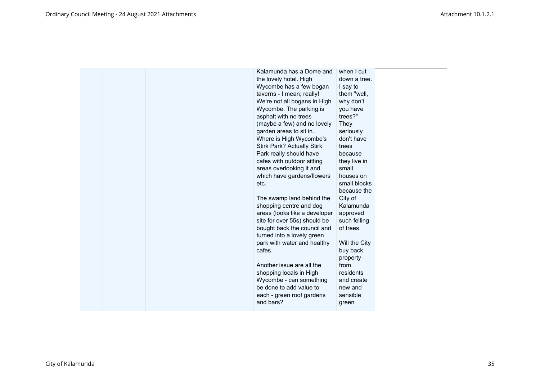| Kalamunda has a Dome and<br>the lovely hotel. High<br>Wycombe has a few bogan<br>taverns - I mean; really!<br>We're not all bogans in High<br>Wycombe. The parking is<br>asphalt with no trees<br>(maybe a few) and no lovely<br>garden areas to sit in.<br>Where is High Wycombe's<br><b>Stirk Park? Actually Stirk</b><br>Park really should have<br>cafes with outdoor sitting<br>areas overlooking it and | when I cut<br>down a tree.<br>I say to<br>them "well,<br>why don't<br>you have<br>trees?"<br>They<br>seriously<br>don't have<br>trees<br>because<br>they live in<br>small |  |
|---------------------------------------------------------------------------------------------------------------------------------------------------------------------------------------------------------------------------------------------------------------------------------------------------------------------------------------------------------------------------------------------------------------|---------------------------------------------------------------------------------------------------------------------------------------------------------------------------|--|
| site for over 55s) should be<br>bought back the council and<br>turned into a lovely green<br>park with water and healthy<br>cafes.<br>Another issue are all the<br>shopping locals in High<br>Wycombe - can something<br>be done to add value to<br>each - green roof gardens<br>and bars?                                                                                                                    | such felling<br>of trees.<br>Will the City<br>buy back<br>property<br>from<br>residents<br>and create<br>new and<br>sensible<br>green                                     |  |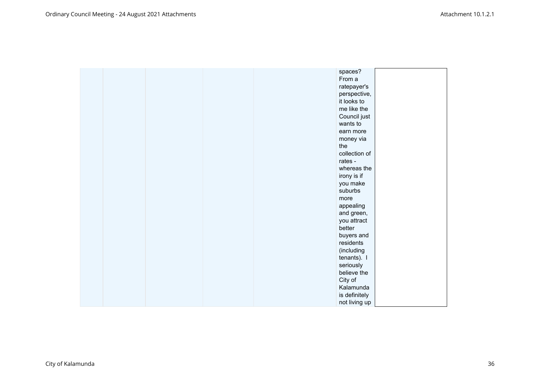|  |  | spaces?       |  |
|--|--|---------------|--|
|  |  | From a        |  |
|  |  | ratepayer's   |  |
|  |  | perspective,  |  |
|  |  | it looks to   |  |
|  |  | me like the   |  |
|  |  | Council just  |  |
|  |  | wants to      |  |
|  |  | earn more     |  |
|  |  | money via     |  |
|  |  | the           |  |
|  |  | collection of |  |
|  |  | rates -       |  |
|  |  | whereas the   |  |
|  |  | irony is if   |  |
|  |  | you make      |  |
|  |  | suburbs       |  |
|  |  | more          |  |
|  |  | appealing     |  |
|  |  | and green,    |  |
|  |  | you attract   |  |
|  |  | better        |  |
|  |  | buyers and    |  |
|  |  | residents     |  |
|  |  | (including    |  |
|  |  | tenants). I   |  |
|  |  | seriously     |  |
|  |  | believe the   |  |
|  |  | City of       |  |
|  |  | Kalamunda     |  |
|  |  | is definitely |  |
|  |  | not living up |  |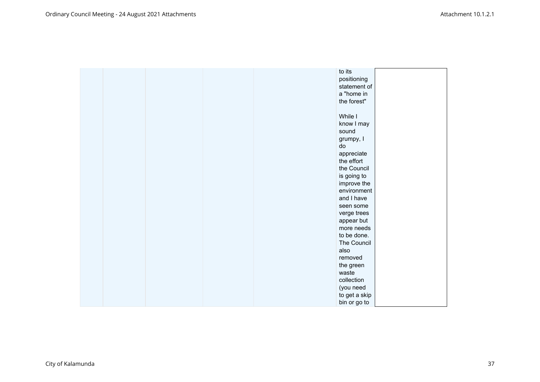| to its        |  |
|---------------|--|
| positioning   |  |
| statement of  |  |
| a "home in    |  |
| the forest"   |  |
|               |  |
| While I       |  |
| know I may    |  |
| sound         |  |
| grumpy, I     |  |
| do            |  |
| appreciate    |  |
| the effort    |  |
| the Council   |  |
| is going to   |  |
| improve the   |  |
| environment   |  |
| and I have    |  |
| seen some     |  |
| verge trees   |  |
| appear but    |  |
| more needs    |  |
| to be done.   |  |
| The Council   |  |
| also          |  |
| removed       |  |
| the green     |  |
| waste         |  |
| collection    |  |
| (you need     |  |
| to get a skip |  |
| bin or go to  |  |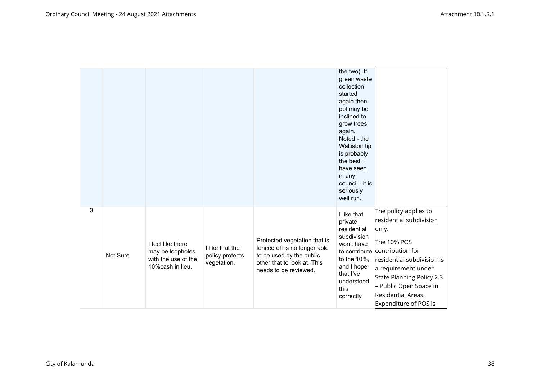|   |          |                                                                                   |                                                   |                                                                                                                                                  | the two). If<br>green waste<br>collection<br>started<br>again then<br>ppl may be<br>inclined to<br>grow trees<br>again.<br>Noted - the<br>Walliston tip<br>is probably<br>the best I<br>have seen<br>in any<br>council - it is<br>seriously<br>well run. |                                                                                                                                                                                                                                                       |
|---|----------|-----------------------------------------------------------------------------------|---------------------------------------------------|--------------------------------------------------------------------------------------------------------------------------------------------------|----------------------------------------------------------------------------------------------------------------------------------------------------------------------------------------------------------------------------------------------------------|-------------------------------------------------------------------------------------------------------------------------------------------------------------------------------------------------------------------------------------------------------|
| 3 | Not Sure | I feel like there<br>may be loopholes<br>with the use of the<br>10% cash in lieu. | I like that the<br>policy protects<br>vegetation. | Protected vegetation that is<br>fenced off is no longer able<br>to be used by the public<br>other that to look at. This<br>needs to be reviewed. | I like that<br>private<br>residential<br>subdivision<br>won't have<br>to contribute<br>to the 10%,<br>and I hope<br>that I've<br>understood<br>this<br>correctly                                                                                         | The policy applies to<br>residential subdivision<br>only.<br>The 10% POS<br>contribution for<br>residential subdivision is<br>a requirement under<br>State Planning Policy 2.3<br>Public Open Space in<br>Residential Areas.<br>Expenditure of POS is |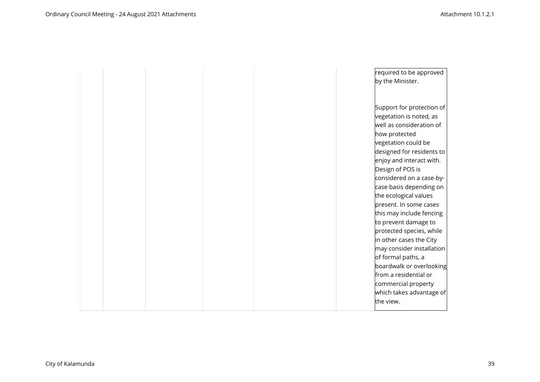